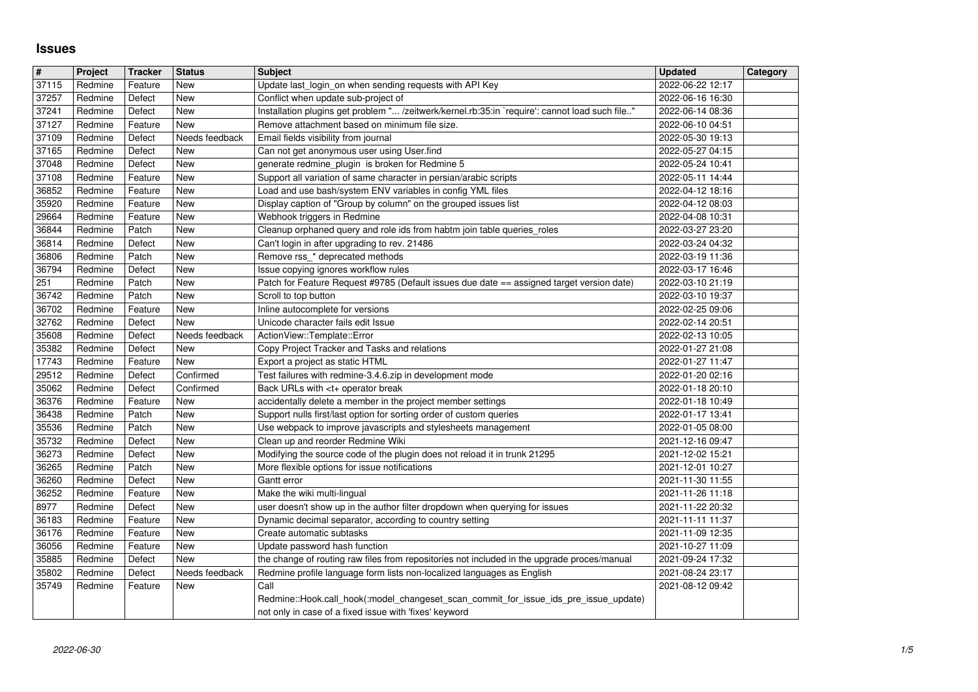## **Issues**

| $\overline{\boldsymbol{H}}$ | Project            | <b>Tracker</b>    | <b>Status</b>         | <b>Subject</b>                                                                                                                                  | <b>Updated</b>                       | Category |
|-----------------------------|--------------------|-------------------|-----------------------|-------------------------------------------------------------------------------------------------------------------------------------------------|--------------------------------------|----------|
| 37115                       | Redmine            | Feature           | <b>New</b>            | Update last login on when sending requests with API Key                                                                                         | 2022-06-22 12:17                     |          |
| 37257                       | Redmine            | Defect            | <b>New</b>            | Conflict when update sub-project of                                                                                                             | 2022-06-16 16:30                     |          |
| 37241<br>37127              | Redmine<br>Redmine | Defect<br>Feature | New<br>New            | Installation plugins get problem " /zeitwerk/kernel.rb:35:in `require': cannot load such file"<br>Remove attachment based on minimum file size. | 2022-06-14 08:36<br>2022-06-10 04:51 |          |
| 37109                       | Redmine            | Defect            | Needs feedback        | Email fields visibility from journal                                                                                                            | 2022-05-30 19:13                     |          |
| 37165                       | Redmine            | Defect            | New                   | Can not get anonymous user using User.find                                                                                                      | 2022-05-27 04:15                     |          |
| 37048<br>37108              | Redmine<br>Redmine | Defect<br>Feature | New<br>New            | generate redmine_plugin is broken for Redmine 5<br>Support all variation of same character in persian/arabic scripts                            | 2022-05-24 10:41<br>2022-05-11 14:44 |          |
| 36852                       | Redmine            | Feature           | New                   | Load and use bash/system ENV variables in config YML files                                                                                      | 2022-04-12 18:16                     |          |
| 35920                       | Redmine            | Feature           | <b>New</b>            | Display caption of "Group by column" on the grouped issues list                                                                                 | 2022-04-12 08:03                     |          |
| 29664                       | Redmine            | Feature           | New                   | Webhook triggers in Redmine                                                                                                                     | 2022-04-08 10:31                     |          |
| 36844<br>36814              | Redmine<br>Redmine | Patch<br>Defect   | New<br>New            | Cleanup orphaned query and role ids from habtm join table queries_roles                                                                         | 2022-03-27 23:20<br>2022-03-24 04:32 |          |
| 36806                       | Redmine            | Patch             | New                   | Can't login in after upgrading to rev. 21486<br>Remove rss_* deprecated methods                                                                 | 2022-03-19 11:36                     |          |
| 36794                       | Redmine            | Defect            | New                   | Issue copying ignores workflow rules                                                                                                            | 2022-03-17 16:46                     |          |
| 251<br>36742                | Redmine<br>Redmine | Patch<br>Patch    | <b>New</b><br>New     | Patch for Feature Request #9785 (Default issues due date == assigned target version date)<br>Scroll to top button                               | 2022-03-10 21:19<br>2022-03-10 19:37 |          |
| 36702                       | Redmine            | Feature           | New                   | Inline autocomplete for versions                                                                                                                | 2022-02-25 09:06                     |          |
| 32762                       | Redmine            | Defect            | New                   | Unicode character fails edit Issue                                                                                                              | 2022-02-14 20:51                     |          |
| 35608<br>35382              | Redmine<br>Redmine | Defect<br>Defect  | Needs feedback<br>New | ActionView::Template::Error<br>Copy Project Tracker and Tasks and relations                                                                     | 2022-02-13 10:05<br>2022-01-27 21:08 |          |
| 17743                       | Redmine            | Feature           | New                   | Export a project as static HTML                                                                                                                 | 2022-01-27 11:47                     |          |
| 29512                       | Redmine            | Defect            | Confirmed             | Test failures with redmine-3.4.6.zip in development mode                                                                                        | 2022-01-20 02:16                     |          |
| 35062<br>36376              | Redmine<br>Redmine | Defect<br>Feature | Confirmed<br>New      | Back URLs with <t+ break<br="" operator="">accidentally delete a member in the project member settings</t+>                                     | 2022-01-18 20:10<br>2022-01-18 10:49 |          |
| 36438                       | Redmine            | Patch             | New                   | Support nulls first/last option for sorting order of custom queries                                                                             | 2022-01-17 13:41                     |          |
| 35536                       | Redmine            | Patch             | New                   | Use webpack to improve javascripts and stylesheets management                                                                                   | 2022-01-05 08:00                     |          |
| 35732                       | Redmine            | Defect            | New                   | Clean up and reorder Redmine Wiki                                                                                                               | 2021-12-16 09:47                     |          |
| 36273<br>36265              | Redmine<br>Redmine | Defect<br>Patch   | <b>New</b><br>New     | Modifying the source code of the plugin does not reload it in trunk 21295<br>More flexible options for issue notifications                      | 2021-12-02 15:21<br>2021-12-01 10:27 |          |
| 36260                       | Redmine            | Defect            | New                   | Gantt error                                                                                                                                     | 2021-11-30 11:55                     |          |
| 36252                       | Redmine            | Feature           | <b>New</b>            | Make the wiki multi-lingual                                                                                                                     | 2021-11-26 11:18                     |          |
| 8977<br>36183               | Redmine<br>Redmine | Defect<br>Feature | New<br>New            | user doesn't show up in the author filter dropdown when querying for issues<br>Dynamic decimal separator, according to country setting          | 2021-11-22 20:32<br>2021-11-11 11:37 |          |
| 36176                       | Redmine            | Feature           | New                   | Create automatic subtasks                                                                                                                       | 2021-11-09 12:35                     |          |
| 36056                       | Redmine            | Feature           | New<br>New            | Update password hash function<br>the change of routing raw files from repositories not included in the upgrade proces/manual                    | 2021-10-27 11:09                     |          |
| 35885<br>35802              | Redmine<br>Redmine | Defect<br>Defect  | Needs feedback        | Redmine profile language form lists non-localized languages as English                                                                          | 2021-09-24 17:32<br>2021-08-24 23:17 |          |
| 35749                       | Redmine            | Feature           | New                   | Call                                                                                                                                            | 2021-08-12 09:42                     |          |
|                             |                    |                   |                       | Redmine::Hook.call_hook(:model_changeset_scan_commit_for_issue_ids_pre_issue_update)<br>not only in case of a fixed issue with 'fixes' keyword  |                                      |          |
|                             |                    |                   |                       |                                                                                                                                                 |                                      |          |
|                             |                    |                   |                       |                                                                                                                                                 |                                      |          |
|                             |                    |                   |                       |                                                                                                                                                 |                                      |          |
|                             |                    |                   |                       |                                                                                                                                                 |                                      |          |
|                             |                    |                   |                       |                                                                                                                                                 |                                      |          |
|                             |                    |                   |                       |                                                                                                                                                 |                                      |          |
|                             |                    |                   |                       |                                                                                                                                                 |                                      |          |
|                             |                    |                   |                       |                                                                                                                                                 |                                      |          |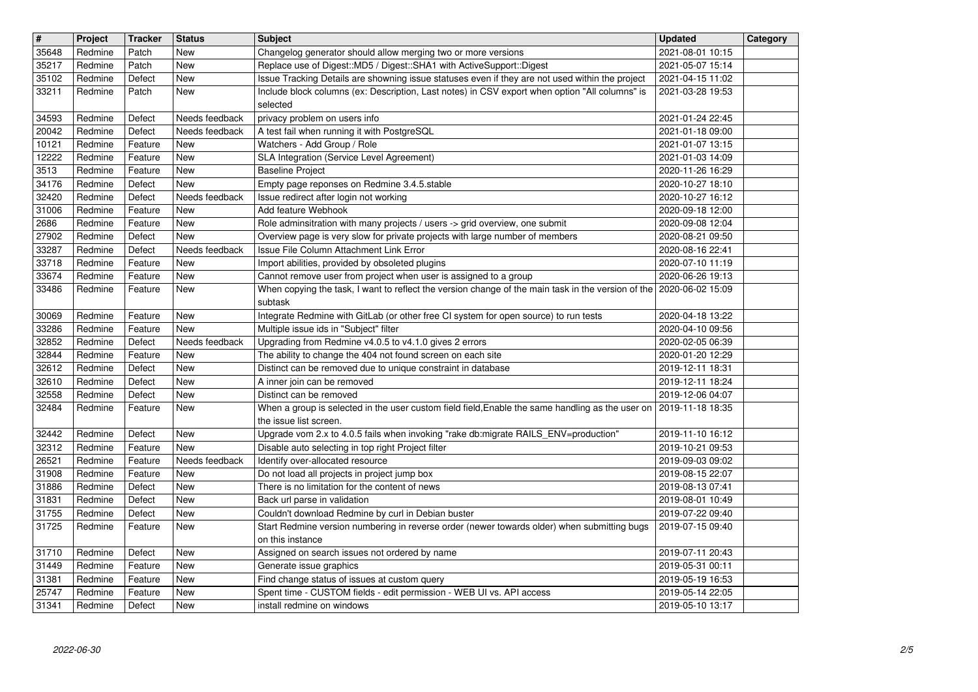| $\overline{\mathbf{H}}$ | Project            | <b>Tracker</b>     | <b>Status</b>                | <b>Subject</b>                                                                                                                                                             | <b>Updated</b>                       | Category |
|-------------------------|--------------------|--------------------|------------------------------|----------------------------------------------------------------------------------------------------------------------------------------------------------------------------|--------------------------------------|----------|
| 35648                   | Redmine            | Patch              | <b>New</b>                   | Changelog generator should allow merging two or more versions                                                                                                              | 2021-08-01 10:15                     |          |
| 35217<br>35102          | Redmine<br>Redmine | Patch<br>Defect    | <b>New</b><br><b>New</b>     | Replace use of Digest:: MD5 / Digest:: SHA1 with ActiveSupport:: Digest<br>Issue Tracking Details are showning issue statuses even if they are not used within the project | 2021-05-07 15:14<br>2021-04-15 11:02 |          |
| 33211                   | Redmine            | Patch              | New                          | Include block columns (ex: Description, Last notes) in CSV export when option "All columns" is                                                                             | 2021-03-28 19:53                     |          |
|                         |                    |                    |                              | selected                                                                                                                                                                   |                                      |          |
| 34593                   | Redmine            | Defect             | Needs feedback               | privacy problem on users info                                                                                                                                              | 2021-01-24 22:45                     |          |
| 20042<br>10121          | Redmine<br>Redmine | Defect<br>Feature  | Needs feedback<br>New        | A test fail when running it with PostgreSQL<br>Watchers - Add Group / Role                                                                                                 | 2021-01-18 09:00<br>2021-01-07 13:15 |          |
| 12222                   | Redmine            | Feature            | New                          | SLA Integration (Service Level Agreement)                                                                                                                                  | 2021-01-03 14:09                     |          |
| 3513                    | Redmine            | Feature            | New                          | <b>Baseline Project</b>                                                                                                                                                    | 2020-11-26 16:29                     |          |
| 34176                   | Redmine            | Defect             | <b>New</b>                   | Empty page reponses on Redmine 3.4.5.stable                                                                                                                                | 2020-10-27 18:10                     |          |
| 32420<br>31006          | Redmine<br>Redmine | Defect<br>Feature  | Needs feedback<br><b>New</b> | Issue redirect after login not working<br>Add feature Webhook                                                                                                              | 2020-10-27 16:12<br>2020-09-18 12:00 |          |
| 2686                    | Redmine            | Feature            | <b>New</b>                   | Role adminsitration with many projects / users -> grid overview, one submit                                                                                                | 2020-09-08 12:04                     |          |
| 27902                   | Redmine            | Defect             | <b>New</b>                   | Overview page is very slow for private projects with large number of members                                                                                               | 2020-08-21 09:50                     |          |
| 33287                   | Redmine            | Defect             | Needs feedback               | Issue File Column Attachment Link Error                                                                                                                                    | 2020-08-16 22:41                     |          |
| 33718<br>33674          | Redmine<br>Redmine | Feature<br>Feature | New<br><b>New</b>            | Import abilities, provided by obsoleted plugins<br>Cannot remove user from project when user is assigned to a group                                                        | 2020-07-10 11:19<br>2020-06-26 19:13 |          |
| 33486                   | Redmine            | Feature            | <b>New</b>                   | When copying the task, I want to reflect the version change of the main task in the version of the 2020-06-02 15:09                                                        |                                      |          |
|                         |                    |                    |                              | subtask                                                                                                                                                                    |                                      |          |
| 30069                   | Redmine            | Feature            | New                          | Integrate Redmine with GitLab (or other free CI system for open source) to run tests                                                                                       | 2020-04-18 13:22                     |          |
| 33286<br>32852          | Redmine<br>Redmine | Feature<br>Defect  | New<br>Needs feedback        | Multiple issue ids in "Subject" filter<br>Upgrading from Redmine v4.0.5 to v4.1.0 gives 2 errors                                                                           | 2020-04-10 09:56<br>2020-02-05 06:39 |          |
| 32844                   | Redmine            | Feature            | New                          | The ability to change the 404 not found screen on each site                                                                                                                | 2020-01-20 12:29                     |          |
| 32612                   | Redmine            | Defect             | New                          | Distinct can be removed due to unique constraint in database                                                                                                               | 2019-12-11 18:31                     |          |
| 32610<br>32558          | Redmine<br>Redmine | Defect<br>Defect   | <b>New</b><br><b>New</b>     | A inner join can be removed<br>Distinct can be removed                                                                                                                     | 2019-12-11 18:24<br>2019-12-06 04:07 |          |
| 32484                   | Redmine            | Feature            | New                          | When a group is selected in the user custom field field, Enable the same handling as the user on                                                                           | 2019-11-18 18:35                     |          |
|                         |                    |                    |                              | the issue list screen.                                                                                                                                                     |                                      |          |
| 32442                   | Redmine            | Defect             | <b>New</b>                   | Upgrade vom 2.x to 4.0.5 fails when invoking "rake db:migrate RAILS_ENV=production"                                                                                        | 2019-11-10 16:12                     |          |
| 32312<br>26521          | Redmine<br>Redmine | Feature<br>Feature | <b>New</b><br>Needs feedback | Disable auto selecting in top right Project filter<br>Identify over-allocated resource                                                                                     | 2019-10-21 09:53<br>2019-09-03 09:02 |          |
| 31908                   | Redmine            | Feature            | New                          | Do not load all projects in project jump box                                                                                                                               | 2019-08-15 22:07                     |          |
| 31886                   | Redmine            | Defect             | <b>New</b>                   | There is no limitation for the content of news                                                                                                                             | 2019-08-13 07:41                     |          |
| 31831                   | Redmine            | Defect             | New                          | Back url parse in validation                                                                                                                                               | 2019-08-01 10:49                     |          |
| 31755<br>31725          | Redmine<br>Redmine | Defect<br>Feature  | New<br><b>New</b>            | Couldn't download Redmine by curl in Debian buster<br>Start Redmine version numbering in reverse order (newer towards older) when submitting bugs                          | 2019-07-22 09:40<br>2019-07-15 09:40 |          |
|                         |                    |                    |                              | on this instance                                                                                                                                                           |                                      |          |
|                         | 31710 Redmine      | Defect             | New                          | Assigned on search issues not ordered by name                                                                                                                              | 2019-07-11 20:43                     |          |
| 31449                   | Redmine            | Feature            | New                          | Generate issue graphics                                                                                                                                                    | 2019-05-31 00:11                     |          |
| 31381<br>25747          | Redmine<br>Redmine | Feature<br>Feature | New<br>New                   | Find change status of issues at custom query<br>Spent time - CUSTOM fields - edit permission - WEB UI vs. API access                                                       | 2019-05-19 16:53<br>2019-05-14 22:05 |          |
| 31341                   | Redmine            | Defect             | New                          | install redmine on windows                                                                                                                                                 | 2019-05-10 13:17                     |          |
|                         |                    |                    |                              |                                                                                                                                                                            |                                      |          |
|                         |                    |                    |                              |                                                                                                                                                                            |                                      |          |
|                         |                    |                    |                              |                                                                                                                                                                            |                                      |          |
|                         |                    |                    |                              |                                                                                                                                                                            |                                      |          |
|                         |                    |                    |                              |                                                                                                                                                                            |                                      |          |
|                         |                    |                    |                              |                                                                                                                                                                            |                                      |          |
|                         |                    |                    |                              |                                                                                                                                                                            |                                      |          |
|                         |                    |                    |                              |                                                                                                                                                                            |                                      |          |
|                         |                    |                    |                              |                                                                                                                                                                            |                                      |          |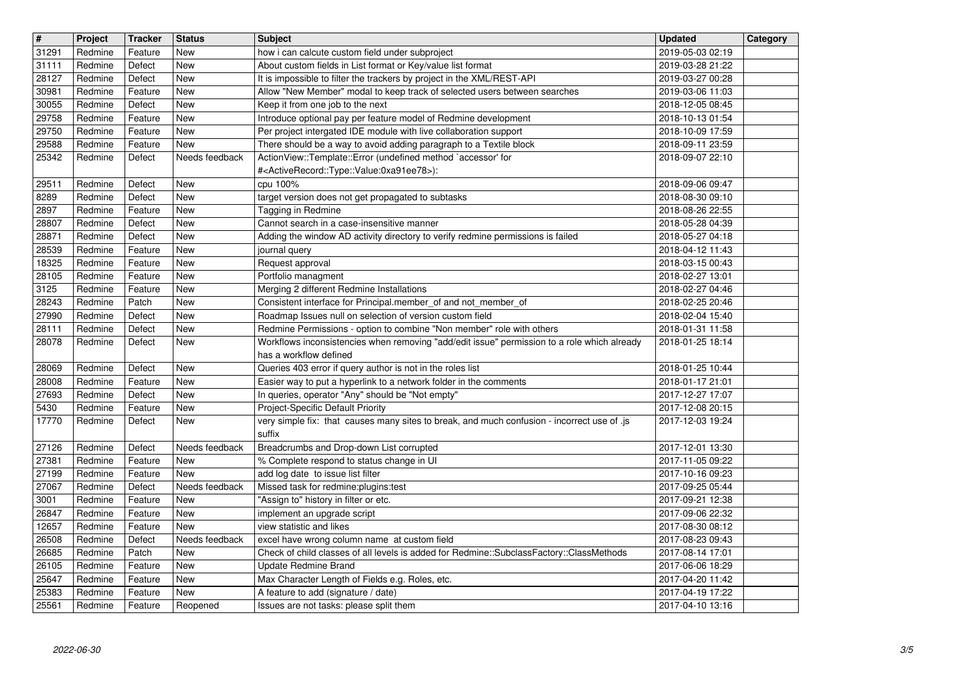| $\overline{\mathbf{H}}$ | Project            | <b>Tracker</b>     | <b>Status</b>         | <b>Subject</b>                                                                                                                           | <b>Updated</b>                       | Category |
|-------------------------|--------------------|--------------------|-----------------------|------------------------------------------------------------------------------------------------------------------------------------------|--------------------------------------|----------|
| 31291<br>31111          | Redmine<br>Redmine | Feature<br>Defect  | New<br>New            | how i can calcute custom field under subproject<br>About custom fields in List format or Key/value list format                           | 2019-05-03 02:19<br>2019-03-28 21:22 |          |
| 28127                   | Redmine            | Defect             | New                   | It is impossible to filter the trackers by project in the XML/REST-API                                                                   | 2019-03-27 00:28                     |          |
| 30981<br>30055          | Redmine<br>Redmine | Feature<br>Defect  | New<br>New            | Allow "New Member" modal to keep track of selected users between searches<br>Keep it from one job to the next                            | 2019-03-06 11:03<br>2018-12-05 08:45 |          |
| 29758                   | Redmine            | Feature            | <b>New</b>            | Introduce optional pay per feature model of Redmine development                                                                          | 2018-10-13 01:54                     |          |
| 29750                   | Redmine            | Feature            | New                   | Per project intergated IDE module with live collaboration support                                                                        | 2018-10-09 17:59                     |          |
| 29588<br>25342          | Redmine<br>Redmine | Feature<br>Defect  | New<br>Needs feedback | There should be a way to avoid adding paragraph to a Textile block<br>ActionView::Template::Error (undefined method `accessor' for       | 2018-09-11 23:59<br>2018-09-07 22:10 |          |
|                         |                    |                    |                       | # <activerecord::type::value:0xa91ee78>):</activerecord::type::value:0xa91ee78>                                                          |                                      |          |
| 29511                   | Redmine            | Defect             | New                   | cpu 100%                                                                                                                                 | 2018-09-06 09:47                     |          |
| 8289<br>2897            | Redmine<br>Redmine | Defect<br>Feature  | New<br>New            | target version does not get propagated to subtasks<br>Tagging in Redmine                                                                 | 2018-08-30 09:10<br>2018-08-26 22:55 |          |
| 28807                   | Redmine            | Defect             | New                   | Cannot search in a case-insensitive manner                                                                                               | 2018-05-28 04:39                     |          |
| 28871<br>28539          | Redmine            | Defect             | New                   | Adding the window AD activity directory to verify redmine permissions is failed                                                          | 2018-05-27 04:18                     |          |
| 18325                   | Redmine<br>Redmine | Feature<br>Feature | New<br><b>New</b>     | journal query<br>Request approval                                                                                                        | 2018-04-12 11:43<br>2018-03-15 00:43 |          |
| 28105                   | Redmine            | Feature            | <b>New</b>            | Portfolio managment                                                                                                                      | 2018-02-27 13:01                     |          |
| 3125<br>28243           | Redmine<br>Redmine | Feature<br>Patch   | New<br>New            | Merging 2 different Redmine Installations<br>Consistent interface for Principal.member_of and not_member_of                              | 2018-02-27 04:46<br>2018-02-25 20:46 |          |
| 27990                   | Redmine            | Defect             | New                   | Roadmap Issues null on selection of version custom field                                                                                 | 2018-02-04 15:40                     |          |
| 28111                   | Redmine            | Defect             | New                   | Redmine Permissions - option to combine "Non member" role with others                                                                    | 2018-01-31 11:58                     |          |
| 28078                   | Redmine            | Defect             | New                   | Workflows inconsistencies when removing "add/edit issue" permission to a role which already<br>has a workflow defined                    | 2018-01-25 18:14                     |          |
| 28069                   | Redmine            | Defect             | <b>New</b>            | Queries 403 error if query author is not in the roles list                                                                               | 2018-01-25 10:44                     |          |
| 28008                   | Redmine            | Feature            | <b>New</b>            | Easier way to put a hyperlink to a network folder in the comments                                                                        | 2018-01-17 21:01                     |          |
| 27693<br>5430           | Redmine<br>Redmine | Defect<br>Feature  | <b>New</b><br>New     | In queries, operator "Any" should be "Not empty"<br>Project-Specific Default Priority                                                    | 2017-12-27 17:07<br>2017-12-08 20:15 |          |
| 17770                   | Redmine            | Defect             | New                   | very simple fix: that causes many sites to break, and much confusion - incorrect use of .js                                              | 2017-12-03 19:24                     |          |
| 27126                   | Redmine            | Defect             | Needs feedback        | suffix<br>Breadcrumbs and Drop-down List corrupted                                                                                       | 2017-12-01 13:30                     |          |
| 27381                   | Redmine            | Feature            | New                   | % Complete respond to status change in UI                                                                                                | 2017-11-05 09:22                     |          |
| 27199                   | Redmine            | Feature            | New                   | add log date to issue list filter                                                                                                        | 2017-10-16 09:23                     |          |
| 27067<br>3001           | Redmine<br>Redmine | Defect<br>Feature  | Needs feedback<br>New | Missed task for redmine:plugins:test<br>"Assign to" history in filter or etc.                                                            | 2017-09-25 05:44<br>2017-09-21 12:38 |          |
| 26847                   | Redmine            | Feature            | New                   | implement an upgrade script                                                                                                              | 2017-09-06 22:32                     |          |
| 12657                   | Redmine            | Feature            | New                   | view statistic and likes                                                                                                                 | 2017-08-30 08:12                     |          |
| 26508<br>26685          | Redmine<br>Redmine | Defect<br>Patch    | Needs feedback<br>New | excel have wrong column name at custom field<br>Check of child classes of all levels is added for Redmine::SubclassFactory::ClassMethods | 2017-08-23 09:43<br>2017-08-14 17:01 |          |
| 26105                   | Redmine            | Feature            | New                   | Update Redmine Brand                                                                                                                     | 2017-06-06 18:29                     |          |
| 25647                   | Redmine            | Feature            | New                   | Max Character Length of Fields e.g. Roles, etc.                                                                                          | 2017-04-20 11:42                     |          |
| 25383<br>25561          | Redmine<br>Redmine | Feature<br>Feature | New<br>Reopened       | A feature to add (signature / date)<br>Issues are not tasks: please split them                                                           | 2017-04-19 17:22<br>2017-04-10 13:16 |          |
|                         |                    |                    |                       |                                                                                                                                          |                                      |          |
|                         |                    |                    |                       |                                                                                                                                          |                                      |          |
|                         |                    |                    |                       |                                                                                                                                          |                                      |          |
|                         |                    |                    |                       |                                                                                                                                          |                                      |          |
|                         |                    |                    |                       |                                                                                                                                          |                                      |          |
|                         |                    |                    |                       |                                                                                                                                          |                                      |          |
|                         |                    |                    |                       |                                                                                                                                          |                                      |          |
|                         |                    |                    |                       |                                                                                                                                          |                                      |          |
|                         |                    |                    |                       |                                                                                                                                          |                                      |          |
|                         |                    |                    |                       |                                                                                                                                          |                                      |          |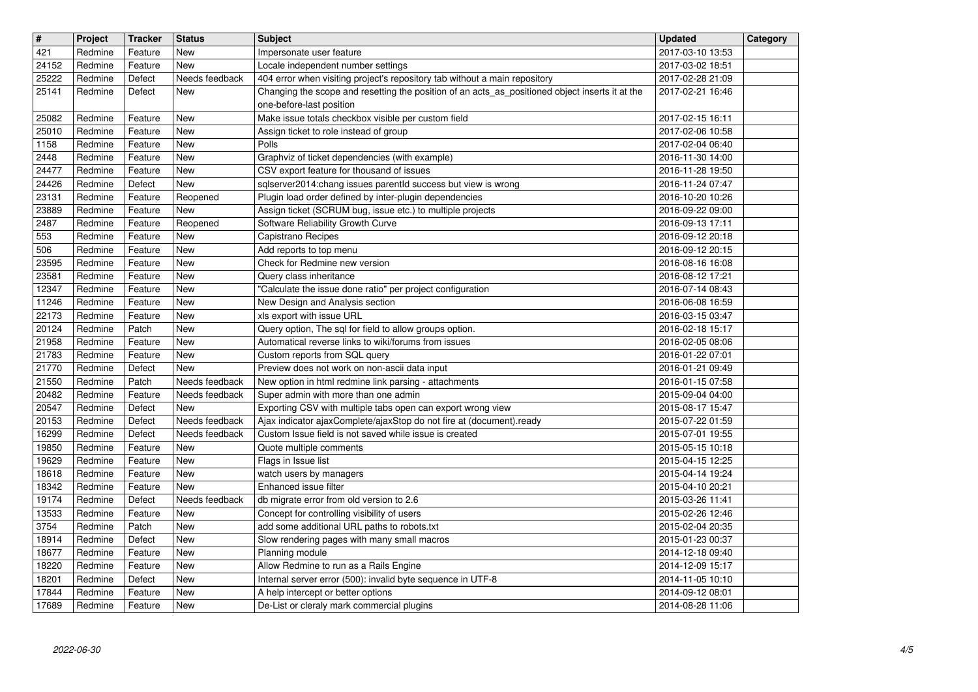| $\overline{\mathbf{H}}$ | Project            | <b>Tracker</b>     | <b>Status</b>                    | <b>Subject</b>                                                                                                       | <b>Updated</b>                       | Category |
|-------------------------|--------------------|--------------------|----------------------------------|----------------------------------------------------------------------------------------------------------------------|--------------------------------------|----------|
| 421                     | Redmine            | Feature            | New                              | Impersonate user feature                                                                                             | 2017-03-10 13:53                     |          |
| 24152<br>25222          | Redmine<br>Redmine | Feature<br>Defect  | <b>New</b><br>Needs feedback     | Locale independent number settings<br>404 error when visiting project's repository tab without a main repository     | 2017-03-02 18:51<br>2017-02-28 21:09 |          |
| 25141                   | Redmine            | Defect             | New                              | Changing the scope and resetting the position of an acts_as_positioned object inserts it at the                      | 2017-02-21 16:46                     |          |
|                         |                    |                    |                                  | one-before-last position                                                                                             |                                      |          |
| 25082                   | Redmine            | Feature            | <b>New</b>                       | Make issue totals checkbox visible per custom field                                                                  | 2017-02-15 16:11                     |          |
| 25010<br>1158           | Redmine<br>Redmine | Feature<br>Feature | New<br>New                       | Assign ticket to role instead of group<br>Polls                                                                      | 2017-02-06 10:58<br>2017-02-04 06:40 |          |
| 2448                    | Redmine            | Feature            | <b>New</b>                       | Graphviz of ticket dependencies (with example)                                                                       | 2016-11-30 14:00                     |          |
| 24477                   | Redmine            | Feature            | <b>New</b>                       | CSV export feature for thousand of issues                                                                            | 2016-11-28 19:50                     |          |
| 24426                   | Redmine            | Defect             | New                              | sqlserver2014:chang issues parentId success but view is wrong                                                        | 2016-11-24 07:47                     |          |
| 23131<br>23889          | Redmine<br>Redmine | Feature<br>Feature | Reopened<br>New                  | Plugin load order defined by inter-plugin dependencies<br>Assign ticket (SCRUM bug, issue etc.) to multiple projects | 2016-10-20 10:26<br>2016-09-22 09:00 |          |
| 2487                    | Redmine            | Feature            | Reopened                         | Software Reliability Growth Curve                                                                                    | 2016-09-13 17:11                     |          |
| 553                     | Redmine            | Feature            | New                              | Capistrano Recipes                                                                                                   | 2016-09-12 20:18                     |          |
| 506                     | Redmine            | Feature            | New                              | Add reports to top menu                                                                                              | 2016-09-12 20:15                     |          |
| 23595<br>23581          | Redmine<br>Redmine | Feature<br>Feature | <b>New</b><br><b>New</b>         | Check for Redmine new version<br>Query class inheritance                                                             | 2016-08-16 16:08<br>2016-08-12 17:21 |          |
| 12347                   | Redmine            | Feature            | <b>New</b>                       | "Calculate the issue done ratio" per project configuration                                                           | 2016-07-14 08:43                     |          |
| 11246                   | Redmine            | Feature            | <b>New</b>                       | New Design and Analysis section                                                                                      | 2016-06-08 16:59                     |          |
| 22173                   | Redmine<br>Redmine | Feature            | <b>New</b>                       | xls export with issue URL                                                                                            | 2016-03-15 03:47                     |          |
| 20124<br>21958          | Redmine            | Patch<br>Feature   | New<br>New                       | Query option, The sql for field to allow groups option.<br>Automatical reverse links to wiki/forums from issues      | 2016-02-18 15:17<br>2016-02-05 08:06 |          |
| 21783                   | Redmine            | Feature            | New                              | Custom reports from SQL query                                                                                        | 2016-01-22 07:01                     |          |
| 21770                   | Redmine            | Defect             | <b>New</b>                       | Preview does not work on non-ascii data input                                                                        | 2016-01-21 09:49                     |          |
| 21550<br>20482          | Redmine<br>Redmine | Patch<br>Feature   | Needs feedback<br>Needs feedback | New option in html redmine link parsing - attachments<br>Super admin with more than one admin                        | 2016-01-15 07:58<br>2015-09-04 04:00 |          |
| 20547                   | Redmine            | Defect             | New                              | Exporting CSV with multiple tabs open can export wrong view                                                          | 2015-08-17 15:47                     |          |
| 20153                   | Redmine            | Defect             | Needs feedback                   | Ajax indicator ajaxComplete/ajaxStop do not fire at (document).ready                                                 | 2015-07-22 01:59                     |          |
| 16299                   | Redmine            | Defect             | Needs feedback                   | Custom Issue field is not saved while issue is created                                                               | 2015-07-01 19:55                     |          |
| 19850<br>19629          | Redmine<br>Redmine | Feature<br>Feature | New<br>New                       | Quote multiple comments<br>Flags in Issue list                                                                       | 2015-05-15 10:18<br>2015-04-15 12:25 |          |
| 18618                   | Redmine            | Feature            | New                              | watch users by managers                                                                                              | 2015-04-14 19:24                     |          |
| 18342                   | Redmine            | Feature            | New                              | Enhanced issue filter                                                                                                | 2015-04-10 20:21                     |          |
| 19174                   | Redmine            | Defect             | Needs feedback                   | db migrate error from old version to 2.6                                                                             | 2015-03-26 11:41                     |          |
| 13533<br>3754           | Redmine<br>Redmine | Feature<br>Patch   | <b>New</b><br>New                | Concept for controlling visibility of users<br>add some additional URL paths to robots.txt                           | 2015-02-26 12:46<br>2015-02-04 20:35 |          |
| 18914                   | Redmine            | Defect             | <b>New</b>                       | Slow rendering pages with many small macros                                                                          | 2015-01-23 00:37                     |          |
| 18677                   | Redmine            | Feature            | New                              | Planning module                                                                                                      | 2014-12-18 09:40                     |          |
| 18220                   | Redmine            | Feature            | New                              | Allow Redmine to run as a Rails Engine                                                                               | 2014-12-09 15:17                     |          |
| 18201<br>17844          | Redmine<br>Redmine | Defect<br>Feature  | New<br>New                       | Internal server error (500): invalid byte sequence in UTF-8<br>A help intercept or better options                    | 2014-11-05 10:10<br>2014-09-12 08:01 |          |
| 17689                   | Redmine            | Feature            | New                              | De-List or cleraly mark commercial plugins                                                                           | 2014-08-28 11:06                     |          |
|                         |                    |                    |                                  |                                                                                                                      |                                      |          |
|                         |                    |                    |                                  |                                                                                                                      |                                      |          |
|                         |                    |                    |                                  |                                                                                                                      |                                      |          |
|                         |                    |                    |                                  |                                                                                                                      |                                      |          |
|                         |                    |                    |                                  |                                                                                                                      |                                      |          |
|                         |                    |                    |                                  |                                                                                                                      |                                      |          |
|                         |                    |                    |                                  |                                                                                                                      |                                      |          |
|                         |                    |                    |                                  |                                                                                                                      |                                      |          |
|                         |                    |                    |                                  |                                                                                                                      |                                      |          |
|                         |                    |                    |                                  |                                                                                                                      |                                      |          |
|                         |                    |                    |                                  |                                                                                                                      |                                      |          |
|                         |                    |                    |                                  |                                                                                                                      |                                      |          |
|                         |                    |                    |                                  |                                                                                                                      |                                      |          |